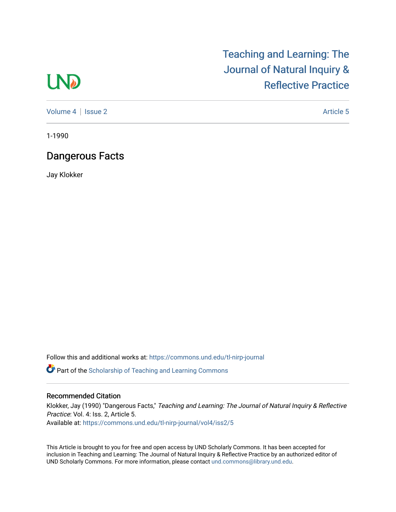## **LND**

[Teaching and Learning: The](https://commons.und.edu/tl-nirp-journal)  [Journal of Natural Inquiry &](https://commons.und.edu/tl-nirp-journal)  [Reflective Practice](https://commons.und.edu/tl-nirp-journal) 

[Volume 4](https://commons.und.edu/tl-nirp-journal/vol4) | [Issue 2](https://commons.und.edu/tl-nirp-journal/vol4/iss2) Article 5

1-1990

## Dangerous Facts

Jay Klokker

Follow this and additional works at: [https://commons.und.edu/tl-nirp-journal](https://commons.und.edu/tl-nirp-journal?utm_source=commons.und.edu%2Ftl-nirp-journal%2Fvol4%2Fiss2%2F5&utm_medium=PDF&utm_campaign=PDFCoverPages) 

**P** Part of the Scholarship of Teaching and Learning Commons

## Recommended Citation

Klokker, Jay (1990) "Dangerous Facts," Teaching and Learning: The Journal of Natural Inquiry & Reflective Practice: Vol. 4: Iss. 2, Article 5. Available at: [https://commons.und.edu/tl-nirp-journal/vol4/iss2/5](https://commons.und.edu/tl-nirp-journal/vol4/iss2/5?utm_source=commons.und.edu%2Ftl-nirp-journal%2Fvol4%2Fiss2%2F5&utm_medium=PDF&utm_campaign=PDFCoverPages)

This Article is brought to you for free and open access by UND Scholarly Commons. It has been accepted for inclusion in Teaching and Learning: The Journal of Natural Inquiry & Reflective Practice by an authorized editor of UND Scholarly Commons. For more information, please contact [und.commons@library.und.edu.](mailto:und.commons@library.und.edu)